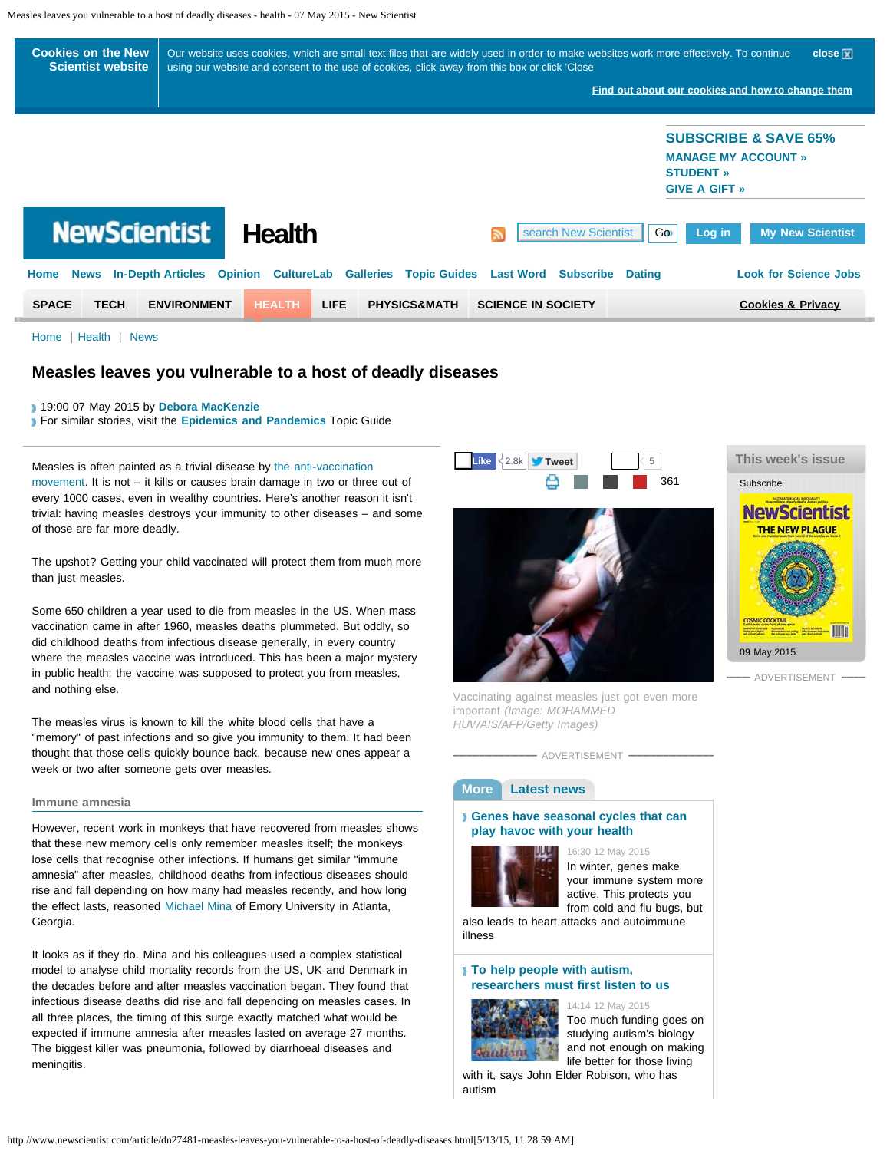<span id="page-0-1"></span><span id="page-0-0"></span>

[Home](http://www.newscientist.com/) | [Health](http://www.newscientist.com/section/health) | [News](http://www.newscientist.com/section/science-news%20%20%20%20)

# **Measles leaves you vulnerable to a host of deadly diseases**

19:00 07 May 2015 by **[Debora MacKenzie](http://www.newscientist.com/search?rbauthors=Debora+MacKenzie)**

For similar stories, visit the **[Epidemics and Pandemics](http://www.newscientist.com/topic/epidemic)** Topic Guide

Measles is often painted as a trivial disease by [the anti-vaccination](http://www.newscientist.com/article/dn27399-california-moves-closer-to-tightening-child-vaccination-laws.html) [movement](http://www.newscientist.com/article/dn27399-california-moves-closer-to-tightening-child-vaccination-laws.html). It is not – it kills or causes brain damage in two or three out of every 1000 cases, even in wealthy countries. Here's another reason it isn't trivial: having measles destroys your immunity to other diseases – and some of those are far more deadly.

The upshot? Getting your child vaccinated will protect them from much more than just measles.

Some 650 children a year used to die from measles in the US. When mass vaccination came in after 1960, measles deaths plummeted. But oddly, so did childhood deaths from infectious disease generally, in every country where the measles vaccine was introduced. This has been a major mystery in public health: the vaccine was supposed to protect you from measles, and nothing else.

The measles virus is known to kill the white blood cells that have a "memory" of past infections and so give you immunity to them. It had been thought that those cells quickly bounce back, because new ones appear a week or two after someone gets over measles.

#### **Immune amnesia**

However, recent work in monkeys that have recovered from measles shows that these new memory cells only remember measles itself; the monkeys lose cells that recognise other infections. If humans get similar "immune amnesia" after measles, childhood deaths from infectious diseases should rise and fall depending on how many had measles recently, and how long the effect lasts, reasoned [Michael Mina](http://med.emory.edu/MDPHD/trainees/current_students/mina_michael.html) of Emory University in Atlanta, Georgia.

It looks as if they do. Mina and his colleagues used a complex statistical model to analyse child mortality records from the US, UK and Denmark in the decades before and after measles vaccination began. They found that infectious disease deaths did rise and fall depending on measles cases. In all three places, the timing of this surge exactly matched what would be expected if immune amnesia after measles lasted on average 27 months. The biggest killer was pneumonia, followed by diarrhoeal diseases and meningitis.







Vaccinating against measles just got even more important *(Image: MOHAMMED HUWAIS/AFP/Getty Images)*

ADVERTISEMENT

## **More [Latest news](#page-0-0)**

### **[Genes have seasonal cycles that can](http://www.newscientist.com/article/dn27503-genes-have-seasonal-cycles-that-can-play-havoc-with-your-health.html) [play havoc with your health](http://www.newscientist.com/article/dn27503-genes-have-seasonal-cycles-that-can-play-havoc-with-your-health.html)**



16:30 12 May 2015 In winter, genes make your immune system more active. This protects you from cold and flu bugs, but

also leads to heart attacks and autoimmune illness

## **[To help people with autism,](http://www.newscientist.com/article/dn27501-to-help-people-with-autism-researchers-must-first-listen-to-us.html) [researchers must first listen to us](http://www.newscientist.com/article/dn27501-to-help-people-with-autism-researchers-must-first-listen-to-us.html)**



14:14 12 May 2015 Too much funding goes on studying autism's biology

and not enough on making life better for those living

with it, says John Elder Robison, who has autism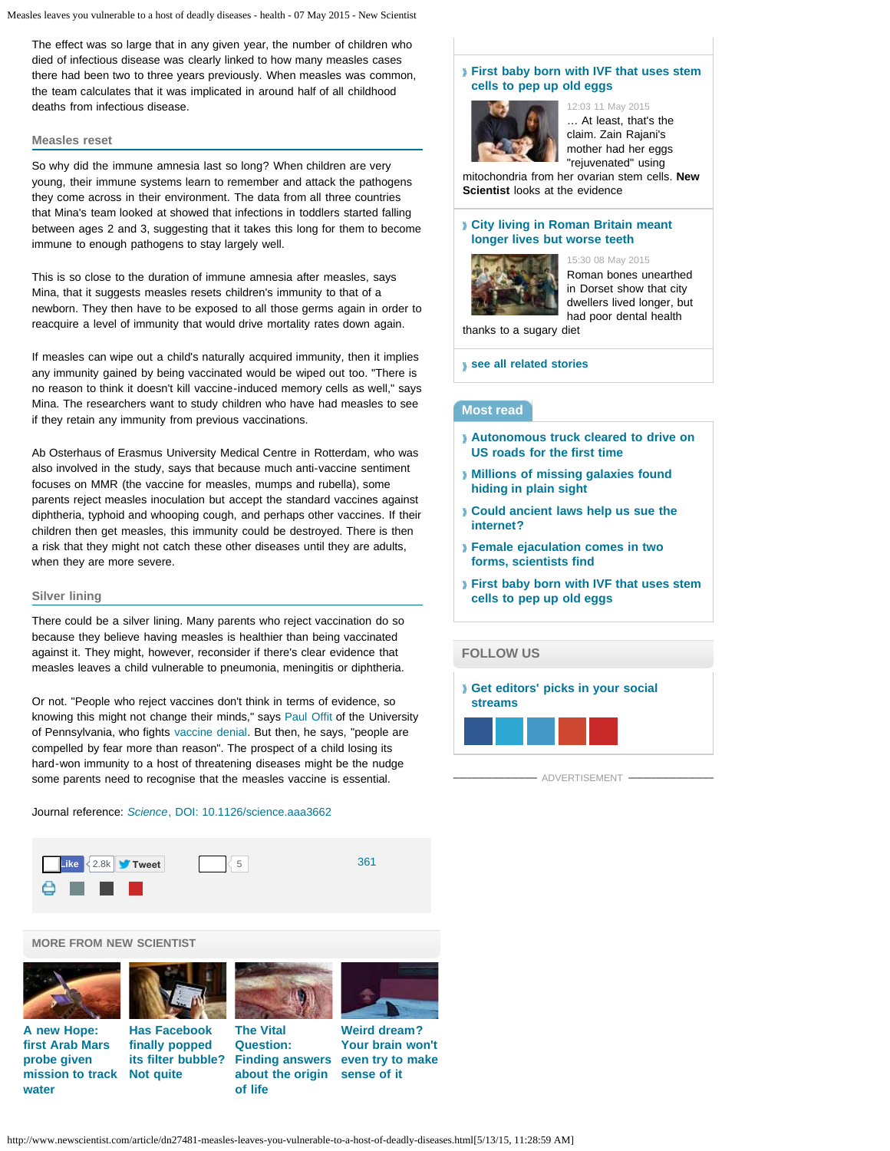The effect was so large that in any given year, the number of children who died of infectious disease was clearly linked to how many measles cases there had been two to three years previously. When measles was common, the team calculates that it was implicated in around half of all childhood deaths from infectious disease.

### **Measles reset**

So why did the immune amnesia last so long? When children are very young, their immune systems learn to remember and attack the pathogens they come across in their environment. The data from all three countries that Mina's team looked at showed that infections in toddlers started falling between ages 2 and 3, suggesting that it takes this long for them to become immune to enough pathogens to stay largely well.

This is so close to the duration of immune amnesia after measles, says Mina, that it suggests measles resets children's immunity to that of a newborn. They then have to be exposed to all those germs again in order to reacquire a level of immunity that would drive mortality rates down again.

If measles can wipe out a child's naturally acquired immunity, then it implies any immunity gained by being vaccinated would be wiped out too. "There is no reason to think it doesn't kill vaccine-induced memory cells as well," says Mina. The researchers want to study children who have had measles to see if they retain any immunity from previous vaccinations.

Ab Osterhaus of Erasmus University Medical Centre in Rotterdam, who was also involved in the study, says that because much anti-vaccine sentiment focuses on MMR (the vaccine for measles, mumps and rubella), some parents reject measles inoculation but accept the standard vaccines against diphtheria, typhoid and whooping cough, and perhaps other vaccines. If their children then get measles, this immunity could be destroyed. There is then a risk that they might not catch these other diseases until they are adults, when they are more severe.

## **Silver lining**

There could be a silver lining. Many parents who reject vaccination do so because they believe having measles is healthier than being vaccinated against it. They might, however, reconsider if there's clear evidence that measles leaves a child vulnerable to pneumonia, meningitis or diphtheria.

Or not. "People who reject vaccines don't think in terms of evidence, so knowing this might not change their minds," says [Paul Offit](http://paul-offit.com/about) of the University of Pennsylvania, who fights [vaccine denial](http://www.newscientist.com/article/mg20627606.100-living-in-denial-why-sensible-people-reject-the-truth.html). But then, he says, "people are compelled by fear more than reason". The prospect of a child losing its hard-won immunity to a host of threatening diseases might be the nudge some parents need to recognise that the measles vaccine is essential.

# Journal reference: *[Science](http://dx.doi.org/10.1126/science.aaa3662)*[, DOI: 10.1126/science.aaa3662](http://dx.doi.org/10.1126/science.aaa3662)





**[A new Hope:](http://www.newscientist.com/article/dn27486) [first Arab Mars](http://www.newscientist.com/article/dn27486) [probe given](http://www.newscientist.com/article/dn27486) [mission to track](http://www.newscientist.com/article/dn27486)**

**[water](http://www.newscientist.com/article/dn27486)**









## **[First baby born with IVF that uses stem](http://www.newscientist.com/article/dn27491-first-baby-born-with-ivf-that-uses-stem-cells-to-pep-up-old-eggs.html) [cells to pep up old eggs](http://www.newscientist.com/article/dn27491-first-baby-born-with-ivf-that-uses-stem-cells-to-pep-up-old-eggs.html)**



12:03 11 May 2015 … At least, that's the claim. Zain Rajani's mother had her eggs "rejuvenated" using

mitochondria from her ovarian stem cells. **New Scientist** looks at the evidence

### **[City living in Roman Britain meant](http://www.newscientist.com/article/dn27483-city-living-in-roman-britain-meant-longer-lives-but-worse-teeth.html) [longer lives but worse teeth](http://www.newscientist.com/article/dn27483-city-living-in-roman-britain-meant-longer-lives-but-worse-teeth.html)**



15:30 08 May 2015 Roman bones unearthed in Dorset show that city dwellers lived longer, but had poor dental health

thanks to a sugary diet

**[see all related stories](http://www.newscientist.com/section/health)**

# **Most read**

- **[Autonomous truck cleared to drive on](http://www.newscientist.com/article/dn27485-autonomous-truck-cleared-to-drive-on-us-roads-for-the-first-time.html) [US roads for the first time](http://www.newscientist.com/article/dn27485-autonomous-truck-cleared-to-drive-on-us-roads-for-the-first-time.html)**
- **[Millions of missing galaxies found](http://www.newscientist.com/article/dn27490-millions-of-missing-galaxies-found-hiding-in-plain-sight.html) [hiding in plain sight](http://www.newscientist.com/article/dn27490-millions-of-missing-galaxies-found-hiding-in-plain-sight.html)**
- **[Could ancient laws help us sue the](http://www.newscientist.com/article/mg22630200.600-could-ancient-laws-help-us-sue-the-internet.html) [internet?](http://www.newscientist.com/article/mg22630200.600-could-ancient-laws-help-us-sue-the-internet.html)**
- **[Female ejaculation comes in two](http://www.newscientist.com/article/dn26772-female-ejaculation-comes-in-two-forms-scientists-find.html) [forms, scientists find](http://www.newscientist.com/article/dn26772-female-ejaculation-comes-in-two-forms-scientists-find.html)**
- **[First baby born with IVF that uses stem](http://www.newscientist.com/article/dn27491-first-baby-born-with-ivf-that-uses-stem-cells-to-pep-up-old-eggs.html) [cells to pep up old eggs](http://www.newscientist.com/article/dn27491-first-baby-born-with-ivf-that-uses-stem-cells-to-pep-up-old-eggs.html)**

# **[FOLLOW US](http://www.newscientist.com/)**



ADVERTISEMENT